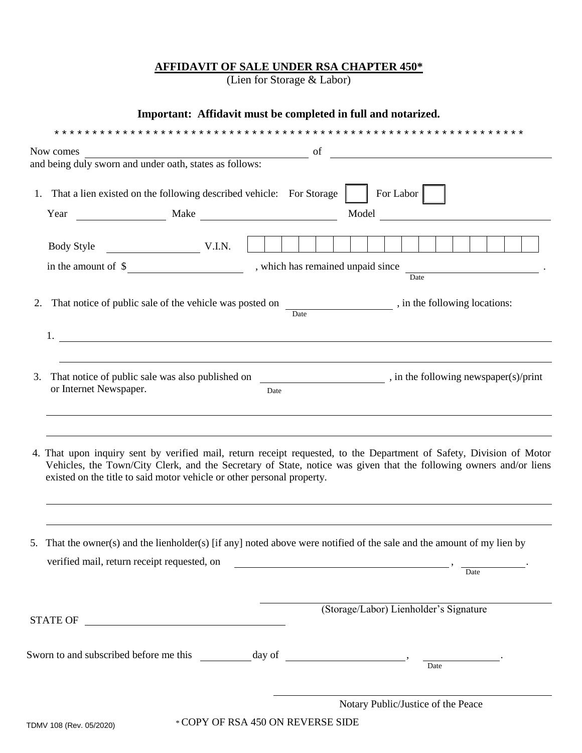# **AFFIDAVIT OF SALE UNDER RSA CHAPTER 450\***

(Lien for Storage & Labor)

# **Important: Affidavit must be completed in full and notarized.**

|                              | now comes and being duly sworn and under oath, states as follows:                                                     |      | <u> 1989 - Johann Stein, mars an deus Amerikaansk kommunister (</u>                                                                                                                                                                        |
|------------------------------|-----------------------------------------------------------------------------------------------------------------------|------|--------------------------------------------------------------------------------------------------------------------------------------------------------------------------------------------------------------------------------------------|
|                              |                                                                                                                       |      |                                                                                                                                                                                                                                            |
|                              | 1. That a lien existed on the following described vehicle: For Storage                                                |      | For Labor                                                                                                                                                                                                                                  |
| Year                         | $\begin{tabular}{c} \textbf{Make} \\ \end{tabular}$                                                                   |      | Model Note                                                                                                                                                                                                                                 |
|                              |                                                                                                                       |      |                                                                                                                                                                                                                                            |
|                              |                                                                                                                       |      | Date                                                                                                                                                                                                                                       |
| 2.                           |                                                                                                                       | Date | That notice of public sale of the vehicle was posted on _______________________, in the following locations:                                                                                                                               |
| 1.                           | <u> 1989 - Johann Barbara, martin amerikan basal dan berasal dalam basal dan berasal dalam basal dalam basal dala</u> |      |                                                                                                                                                                                                                                            |
| 3.<br>or Internet Newspaper. |                                                                                                                       | Date | That notice of public sale was also published on ______________________________, in the following newspaper(s)/print                                                                                                                       |
|                              | existed on the title to said motor vehicle or other personal property.                                                |      | 4. That upon inquiry sent by verified mail, return receipt requested, to the Department of Safety, Division of Motor<br>Vehicles, the Town/City Clerk, and the Secretary of State, notice was given that the following owners and/or liens |
|                              |                                                                                                                       |      |                                                                                                                                                                                                                                            |
|                              | verified mail, return receipt requested, on                                                                           |      | 5. That the owner(s) and the lienholder(s) [if any] noted above were notified of the sale and the amount of my lien by<br>Date                                                                                                             |
| <b>STATE OF</b>              | <u> 1980 - Andrea Station Barbara, amerikan personal (h. 1980).</u>                                                   |      | (Storage/Labor) Lienholder's Signature                                                                                                                                                                                                     |
|                              | Sworn to and subscribed before me this ____________ day of ______________________,                                    |      | Date                                                                                                                                                                                                                                       |